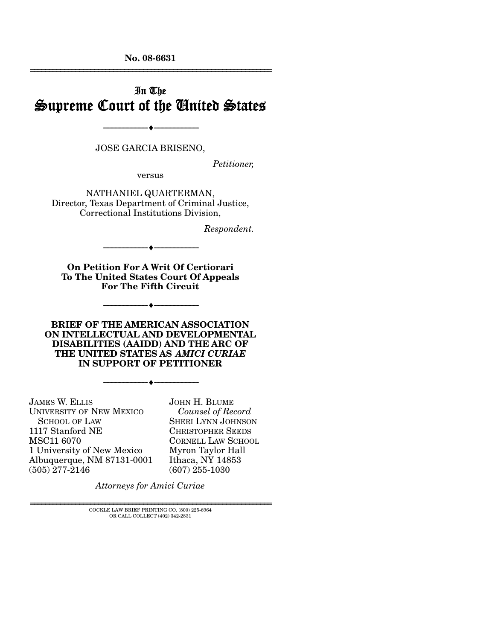**No. 08-6631**  ================================================================

# In The Supreme Court of the United States

JOSE GARCIA BRISENO,

--------------------------------- ♦ ---------------------------------

*Petitioner,* 

versus

NATHANIEL QUARTERMAN, Director, Texas Department of Criminal Justice, Correctional Institutions Division,

*Respondent.* 

**On Petition For A Writ Of Certiorari To The United States Court Of Appeals For The Fifth Circuit** 

--------------------------------- ♦ ---------------------------------

--------------------------------- ♦ ---------------------------------

**BRIEF OF THE AMERICAN ASSOCIATION ON INTELLECTUAL AND DEVELOPMENTAL DISABILITIES (AAIDD) AND THE ARC OF THE UNITED STATES AS** *AMICI CURIAE* **IN SUPPORT OF PETITIONER** 

--------------------------------- ♦ ---------------------------------

JAMES W. ELLIS UNIVERSITY OF NEW MEXICO SCHOOL OF LAW 1117 Stanford NE MSC11 6070 1 University of New Mexico Albuquerque, NM 87131-0001 (505) 277-2146

JOHN H. BLUME *Counsel of Record* SHERI LYNN JOHNSON CHRISTOPHER SEEDS CORNELL LAW SCHOOL Myron Taylor Hall Ithaca, NY 14853 (607) 255-1030

*Attorneys for Amici Curiae*

 ${\rm COCKLE}$  LAW BRIEF PRINTING CO. (800) 225-6964 OR CALL COLLECT (402) 342-2831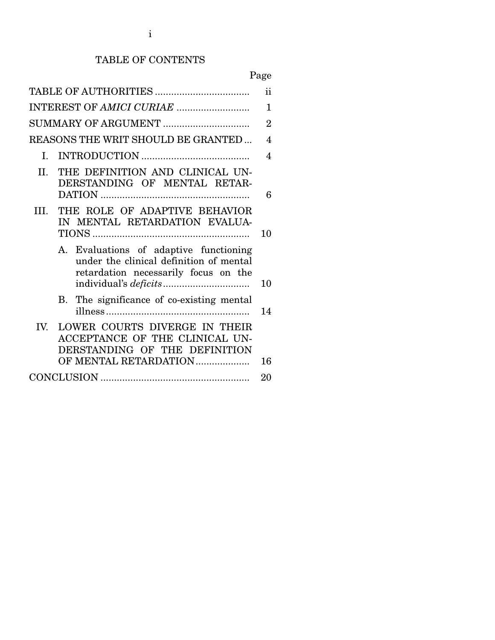## TABLE OF CONTENTS

|                                                                                                                                  | ii                       |
|----------------------------------------------------------------------------------------------------------------------------------|--------------------------|
| INTEREST OF AMICI CURIAE                                                                                                         | $\mathbf 1$              |
| SUMMARY OF ARGUMENT                                                                                                              | $\overline{2}$           |
| REASONS THE WRIT SHOULD BE GRANTED                                                                                               | $\overline{\mathcal{A}}$ |
| L.                                                                                                                               | 4                        |
| THE DEFINITION AND CLINICAL UN-<br>$\Pi$ .<br>DERSTANDING OF MENTAL RETAR-                                                       | 6                        |
| THE ROLE OF ADAPTIVE BEHAVIOR<br>HL.<br>IN MENTAL RETARDATION EVALUA-                                                            | 10                       |
| A. Evaluations of adaptive functioning<br>under the clinical definition of mental<br>retardation necessarily focus on the        | 10                       |
| B. The significance of co-existing mental                                                                                        | 14                       |
| LOWER COURTS DIVERGE IN THEIR<br>IV.<br>ACCEPTANCE OF THE CLINICAL UN-<br>DERSTANDING OF THE DEFINITION<br>OF MENTAL RETARDATION | 16                       |
|                                                                                                                                  | 20                       |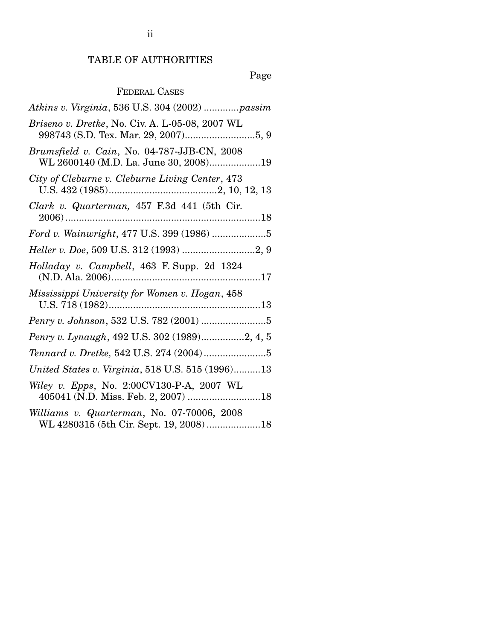# TABLE OF AUTHORITIES

# Page

## FEDERAL CASES

| Atkins v. Virginia, 536 U.S. 304 (2002) passim                                        |
|---------------------------------------------------------------------------------------|
| Briseno v. Dretke, No. Civ. A. L-05-08, 2007 WL                                       |
| Brumsfield v. Cain, No. 04-787-JJB-CN, 2008<br>WL 2600140 (M.D. La. June 30, 2008)19  |
| City of Cleburne v. Cleburne Living Center, 473                                       |
| Clark v. Quarterman, 457 F.3d 441 (5th Cir.                                           |
|                                                                                       |
|                                                                                       |
| Holladay v. Campbell, 463 F. Supp. 2d 1324                                            |
| Mississippi University for Women v. Hogan, 458                                        |
|                                                                                       |
| Penry v. Lynaugh, 492 U.S. 302 (1989)2, 4, 5                                          |
|                                                                                       |
| United States v. Virginia, 518 U.S. 515 (1996)13                                      |
| Wiley v. Epps, No. 2:00CV130-P-A, 2007 WL<br>405041 (N.D. Miss. Feb. 2, 2007) 18      |
| Williams v. Quarterman, No. 07-70006, 2008<br>WL 4280315 (5th Cir. Sept. 19, 2008) 18 |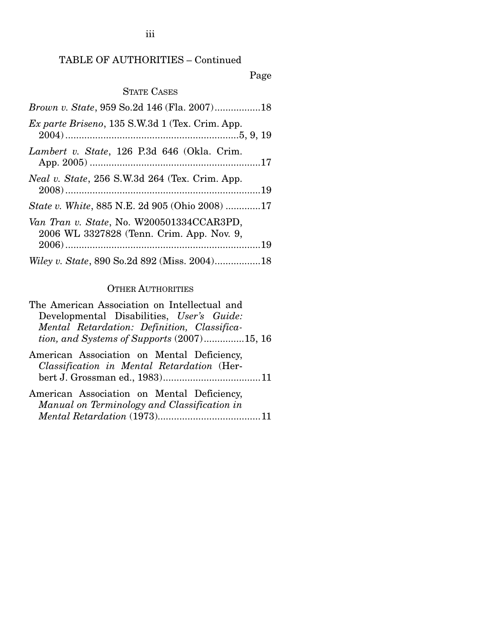### TABLE OF AUTHORITIES – Continued

#### Page

#### STATE CASES

| Brown v. State, 959 So.2d 146 (Fla. 2007)18                                            |  |
|----------------------------------------------------------------------------------------|--|
| Ex parte Briseno, 135 S.W.3d 1 (Tex. Crim. App.                                        |  |
| Lambert v. State, 126 P.3d 646 (Okla. Crim.                                            |  |
| Neal v. State, 256 S.W.3d 264 (Tex. Crim. App.                                         |  |
| <i>State v. White, 885 N.E. 2d 905 (Ohio 2008) 17</i>                                  |  |
| Van Tran v. State, No. W200501334CCAR3PD,<br>2006 WL 3327828 (Tenn. Crim. App. Nov. 9, |  |
|                                                                                        |  |
|                                                                                        |  |

#### OTHER AUTHORITIES

| The American Association on Intellectual and         |
|------------------------------------------------------|
| Developmental Disabilities, User's Guide:            |
| Mental Retardation: Definition, Classifica-          |
| <i>tion, and Systems of Supports</i> $(2007)$ 15, 16 |
|                                                      |

- American Association on Mental Deficiency, *Classification in Mental Retardation* (Herbert J. Grossman ed., 1983)....................................11
- American Association on Mental Deficiency, *Manual on Terminology and Classification in Mental Retardation* (1973)......................................11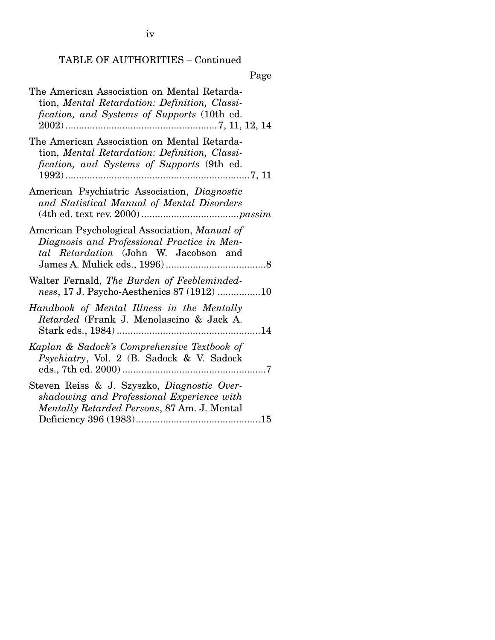iv

# TABLE OF AUTHORITIES – Continued

Page

| The American Association on Mental Retarda-<br>tion, Mental Retardation: Definition, Classi-<br>fication, and Systems of Supports (10th ed.           |
|-------------------------------------------------------------------------------------------------------------------------------------------------------|
| The American Association on Mental Retarda-<br>tion, Mental Retardation: Definition, Classi-<br>fication, and Systems of Supports (9th ed.<br>$1992)$ |
| American Psychiatric Association, Diagnostic<br>and Statistical Manual of Mental Disorders                                                            |
| American Psychological Association, Manual of<br>Diagnosis and Professional Practice in Men-<br>tal Retardation (John W. Jacobson and                 |
| Walter Fernald, The Burden of Feebleminded-<br>ness, 17 J. Psycho-Aesthenics 87 (1912) 10                                                             |
| Handbook of Mental Illness in the Mentally<br>Retarded (Frank J. Menolascino & Jack A.                                                                |
| Kaplan & Sadock's Comprehensive Textbook of<br>Psychiatry, Vol. 2 (B. Sadock & V. Sadock                                                              |
| Steven Reiss & J. Szyszko, Diagnostic Over-<br>shadowing and Professional Experience with<br>Mentally Retarded Persons, 87 Am. J. Mental              |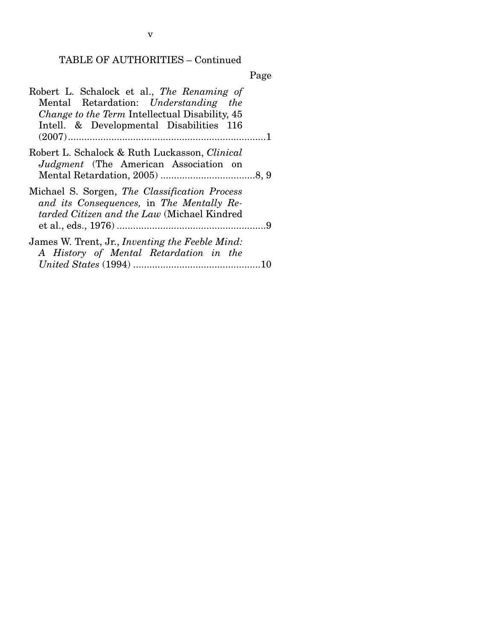# TABLE OF AUTHORITIES – Continued

| ×<br>٧ |
|--------|
|--------|

| Robert L. Schalock et al., The Renaming of            |
|-------------------------------------------------------|
| Mental Retardation: Understanding the                 |
| <i>Change to the Term Intellectual Disability, 45</i> |
| Intell. & Developmental Disabilities 116              |
|                                                       |
| Robert L. Schalock & Ruth Luckasson, <i>Clinical</i>  |
| <i>Judgment</i> (The American Association on          |
|                                                       |
| Michael S. Sorgen, The Classification Process         |
| and its Consequences, in The Mentally Re-             |
| tarded Citizen and the Law (Michael Kindred           |
|                                                       |
| James W. Trent, Jr., Inventing the Feeble Mind:       |
| A History of Mental Retardation in the                |
|                                                       |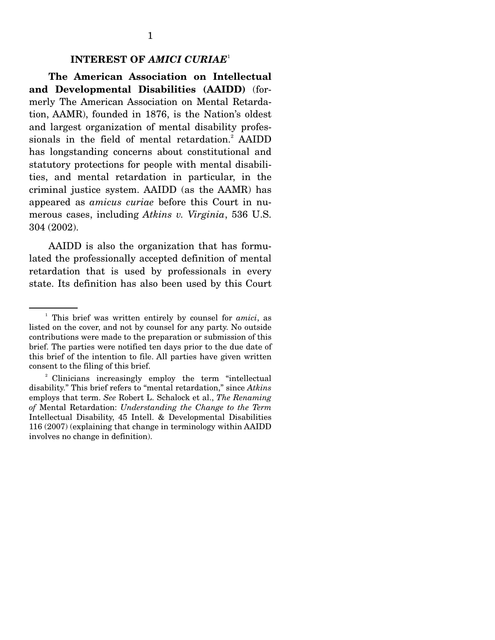#### **INTEREST OF** *AMICI CURIAE*<sup>1</sup>

 **The American Association on Intellectual and Developmental Disabilities (AAIDD)** (formerly The American Association on Mental Retardation, AAMR), founded in 1876, is the Nation's oldest and largest organization of mental disability professionals in the field of mental retardation.<sup>2</sup> AAIDD has longstanding concerns about constitutional and statutory protections for people with mental disabilities, and mental retardation in particular, in the criminal justice system. AAIDD (as the AAMR) has appeared as *amicus curiae* before this Court in numerous cases, including *Atkins v. Virginia*, 536 U.S. 304 (2002).

 AAIDD is also the organization that has formulated the professionally accepted definition of mental retardation that is used by professionals in every state. Its definition has also been used by this Court

<sup>&</sup>lt;sup>1</sup> This brief was written entirely by counsel for *amici*, as listed on the cover, and not by counsel for any party. No outside contributions were made to the preparation or submission of this brief. The parties were notified ten days prior to the due date of this brief of the intention to file. All parties have given written consent to the filing of this brief.

<sup>&</sup>lt;sup>2</sup> Clinicians increasingly employ the term "intellectual" disability." This brief refers to "mental retardation," since *Atkins* employs that term. *See* Robert L. Schalock et al., *The Renaming of* Mental Retardation: *Understanding the Change to the Term*  Intellectual Disability, 45 Intell. & Developmental Disabilities 116 (2007) (explaining that change in terminology within AAIDD involves no change in definition).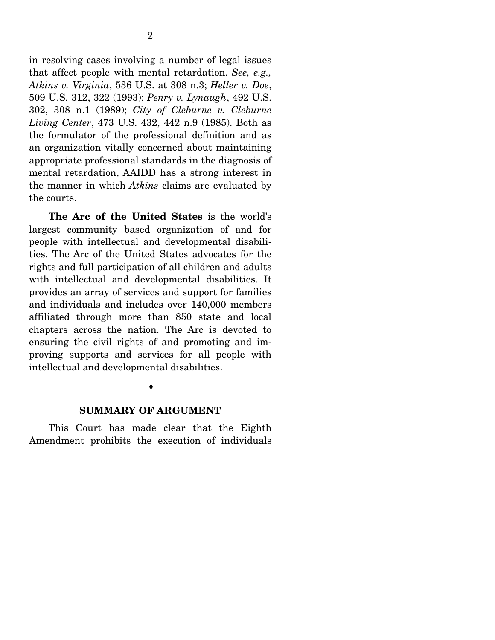in resolving cases involving a number of legal issues that affect people with mental retardation. *See, e.g., Atkins v. Virginia*, 536 U.S. at 308 n.3; *Heller v. Doe*, 509 U.S. 312, 322 (1993); *Penry v. Lynaugh*, 492 U.S. 302, 308 n.1 (1989); *City of Cleburne v. Cleburne Living Center*, 473 U.S. 432, 442 n.9 (1985). Both as the formulator of the professional definition and as an organization vitally concerned about maintaining appropriate professional standards in the diagnosis of mental retardation, AAIDD has a strong interest in the manner in which *Atkins* claims are evaluated by the courts.

 **The Arc of the United States** is the world's largest community based organization of and for people with intellectual and developmental disabilities. The Arc of the United States advocates for the rights and full participation of all children and adults with intellectual and developmental disabilities. It provides an array of services and support for families and individuals and includes over 140,000 members affiliated through more than 850 state and local chapters across the nation. The Arc is devoted to ensuring the civil rights of and promoting and improving supports and services for all people with intellectual and developmental disabilities.

#### **SUMMARY OF ARGUMENT**

--------------------------------- ♦ ---------------------------------

 This Court has made clear that the Eighth Amendment prohibits the execution of individuals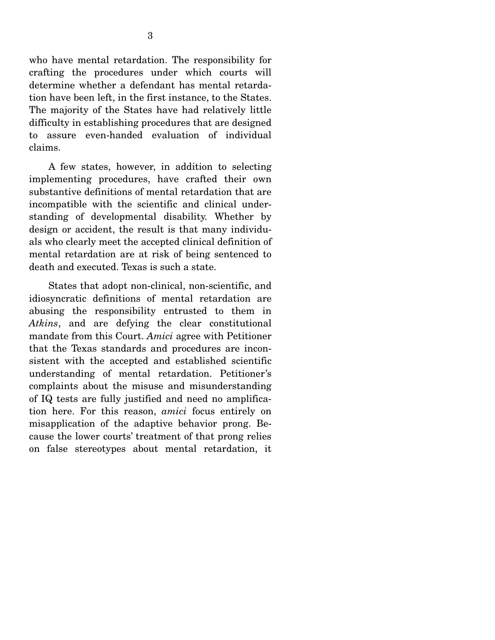who have mental retardation. The responsibility for crafting the procedures under which courts will determine whether a defendant has mental retardation have been left, in the first instance, to the States. The majority of the States have had relatively little difficulty in establishing procedures that are designed to assure even-handed evaluation of individual claims.

 A few states, however, in addition to selecting implementing procedures, have crafted their own substantive definitions of mental retardation that are incompatible with the scientific and clinical understanding of developmental disability. Whether by design or accident, the result is that many individuals who clearly meet the accepted clinical definition of mental retardation are at risk of being sentenced to death and executed. Texas is such a state.

 States that adopt non-clinical, non-scientific, and idiosyncratic definitions of mental retardation are abusing the responsibility entrusted to them in *Atkins*, and are defying the clear constitutional mandate from this Court. *Amici* agree with Petitioner that the Texas standards and procedures are inconsistent with the accepted and established scientific understanding of mental retardation. Petitioner's complaints about the misuse and misunderstanding of IQ tests are fully justified and need no amplification here. For this reason, *amici* focus entirely on misapplication of the adaptive behavior prong. Because the lower courts' treatment of that prong relies on false stereotypes about mental retardation, it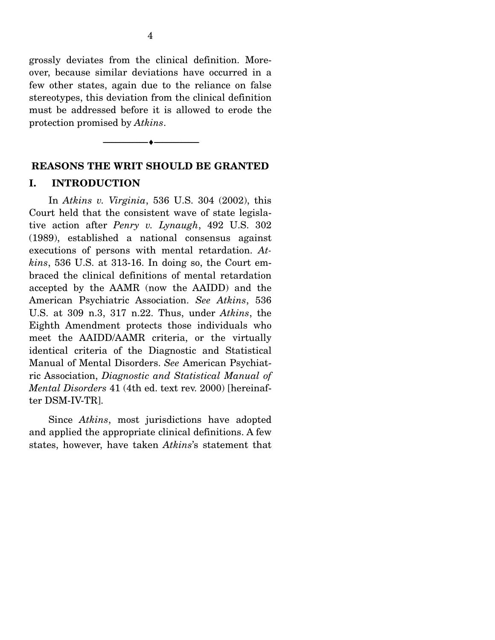grossly deviates from the clinical definition. Moreover, because similar deviations have occurred in a few other states, again due to the reliance on false stereotypes, this deviation from the clinical definition must be addressed before it is allowed to erode the protection promised by *Atkins*.

--------------------------------- ♦ ---------------------------------

# **REASONS THE WRIT SHOULD BE GRANTED**

#### **I. INTRODUCTION**

 In *Atkins v. Virginia*, 536 U.S. 304 (2002), this Court held that the consistent wave of state legislative action after *Penry v. Lynaugh*, 492 U.S. 302 (1989), established a national consensus against executions of persons with mental retardation. *Atkins*, 536 U.S. at 313-16. In doing so, the Court embraced the clinical definitions of mental retardation accepted by the AAMR (now the AAIDD) and the American Psychiatric Association. *See Atkins*, 536 U.S. at 309 n.3, 317 n.22. Thus, under *Atkins*, the Eighth Amendment protects those individuals who meet the AAIDD/AAMR criteria, or the virtually identical criteria of the Diagnostic and Statistical Manual of Mental Disorders. *See* American Psychiatric Association, *Diagnostic and Statistical Manual of Mental Disorders* 41 (4th ed. text rev. 2000) [hereinafter DSM-IV-TR].

 Since *Atkins*, most jurisdictions have adopted and applied the appropriate clinical definitions. A few states, however, have taken *Atkins*'s statement that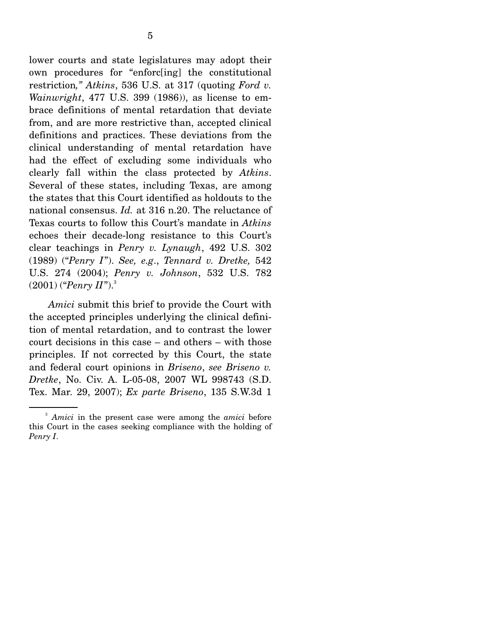lower courts and state legislatures may adopt their own procedures for "enforc[ing] the constitutional restriction*," Atkins*, 536 U.S. at 317 (quoting *Ford v. Wainwright*, 477 U.S. 399 (1986)), as license to embrace definitions of mental retardation that deviate from, and are more restrictive than, accepted clinical definitions and practices. These deviations from the clinical understanding of mental retardation have had the effect of excluding some individuals who clearly fall within the class protected by *Atkins*. Several of these states, including Texas, are among the states that this Court identified as holdouts to the national consensus. *Id.* at 316 n.20. The reluctance of Texas courts to follow this Court's mandate in *Atkins* echoes their decade-long resistance to this Court's clear teachings in *Penry v. Lynaugh*, 492 U.S. 302 (1989) ("*Penry I*"). *See, e.g*., *Tennard v. Dretke,* 542 U.S. 274 (2004); *Penry v. Johnson*, 532 U.S. 782  $(2001)$  ("*Penry II*").<sup>3</sup>

 *Amici* submit this brief to provide the Court with the accepted principles underlying the clinical definition of mental retardation, and to contrast the lower court decisions in this case – and others – with those principles. If not corrected by this Court, the state and federal court opinions in *Briseno*, *see Briseno v. Dretke*, No. Civ. A. L-05-08, 2007 WL 998743 (S.D. Tex. Mar. 29, 2007); *Ex parte Briseno*, 135 S.W.3d 1

<sup>3</sup> *Amici* in the present case were among the *amici* before this Court in the cases seeking compliance with the holding of *Penry I*.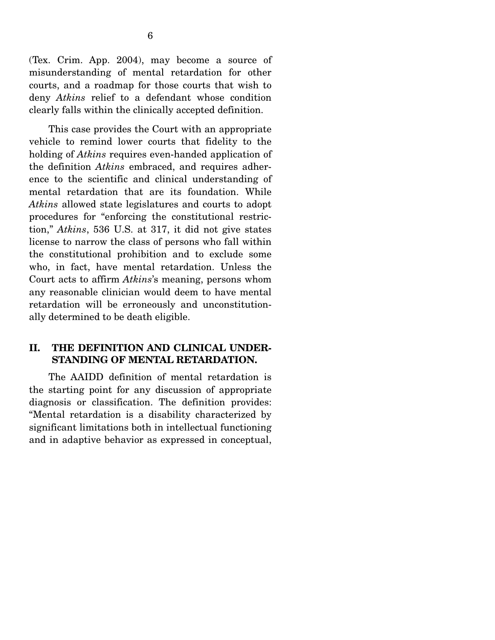(Tex. Crim. App. 2004), may become a source of misunderstanding of mental retardation for other courts, and a roadmap for those courts that wish to deny *Atkins* relief to a defendant whose condition clearly falls within the clinically accepted definition.

 This case provides the Court with an appropriate vehicle to remind lower courts that fidelity to the holding of *Atkins* requires even-handed application of the definition *Atkins* embraced, and requires adherence to the scientific and clinical understanding of mental retardation that are its foundation. While *Atkins* allowed state legislatures and courts to adopt procedures for "enforcing the constitutional restriction," *Atkins*, 536 U.S. at 317, it did not give states license to narrow the class of persons who fall within the constitutional prohibition and to exclude some who, in fact, have mental retardation. Unless the Court acts to affirm *Atkins*'s meaning, persons whom any reasonable clinician would deem to have mental retardation will be erroneously and unconstitutionally determined to be death eligible.

#### **II. THE DEFINITION AND CLINICAL UNDER-STANDING OF MENTAL RETARDATION.**

 The AAIDD definition of mental retardation is the starting point for any discussion of appropriate diagnosis or classification. The definition provides: "Mental retardation is a disability characterized by significant limitations both in intellectual functioning and in adaptive behavior as expressed in conceptual,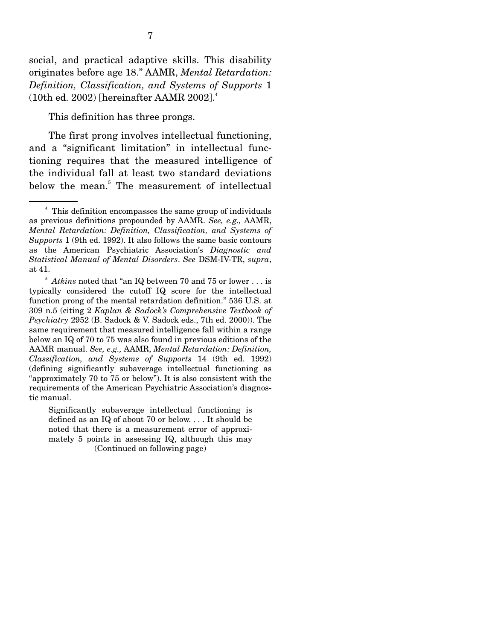social, and practical adaptive skills. This disability originates before age 18." AAMR, *Mental Retardation: Definition, Classification, and Systems of Supports* 1 (10th ed. 2002) [hereinafter AAMR  $2002$ ].<sup>4</sup>

This definition has three prongs.

 The first prong involves intellectual functioning, and a "significant limitation" in intellectual functioning requires that the measured intelligence of the individual fall at least two standard deviations below the mean.<sup>5</sup> The measurement of intellectual

<sup>&</sup>lt;sup>4</sup> This definition encompasses the same group of individuals as previous definitions propounded by AAMR. *See, e.g.,* AAMR, *Mental Retardation: Definition, Classification, and Systems of Supports* 1 (9th ed. 1992). It also follows the same basic contours as the American Psychiatric Association's *Diagnostic and Statistical Manual of Mental Disorders*. *See* DSM-IV-TR, *supra*, at 41.

 $^{\rm 5}$   $Atkins$  noted that "an IQ between 70 and 75 or lower . . . is typically considered the cutoff IQ score for the intellectual function prong of the mental retardation definition." 536 U.S. at 309 n.5 (citing 2 *Kaplan & Sadock's Comprehensive Textbook of Psychiatry* 2952 (B. Sadock & V. Sadock eds., 7th ed. 2000)). The same requirement that measured intelligence fall within a range below an IQ of 70 to 75 was also found in previous editions of the AAMR manual. *See, e.g.,* AAMR, *Mental Retardation: Definition, Classification, and Systems of Supports* 14 (9th ed. 1992) (defining significantly subaverage intellectual functioning as "approximately 70 to 75 or below"). It is also consistent with the requirements of the American Psychiatric Association's diagnostic manual.

Significantly subaverage intellectual functioning is defined as an IQ of about 70 or below. . . . It should be noted that there is a measurement error of approximately 5 points in assessing IQ, although this may (Continued on following page)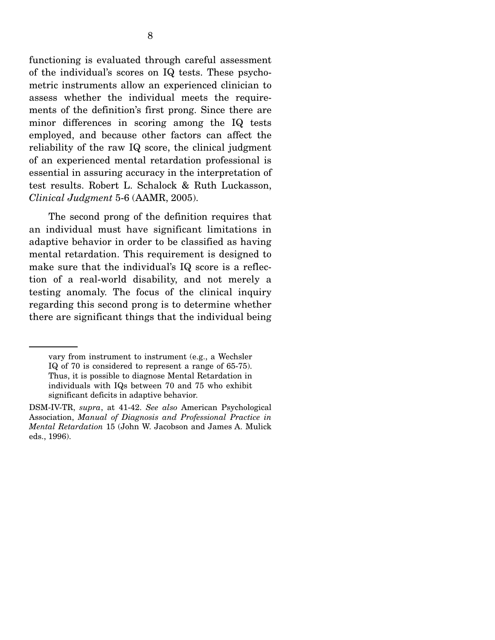functioning is evaluated through careful assessment of the individual's scores on IQ tests. These psychometric instruments allow an experienced clinician to assess whether the individual meets the requirements of the definition's first prong. Since there are minor differences in scoring among the IQ tests employed, and because other factors can affect the reliability of the raw IQ score, the clinical judgment of an experienced mental retardation professional is essential in assuring accuracy in the interpretation of test results. Robert L. Schalock & Ruth Luckasson, *Clinical Judgment* 5-6 (AAMR, 2005).

 The second prong of the definition requires that an individual must have significant limitations in adaptive behavior in order to be classified as having mental retardation. This requirement is designed to make sure that the individual's IQ score is a reflection of a real-world disability, and not merely a testing anomaly. The focus of the clinical inquiry regarding this second prong is to determine whether there are significant things that the individual being

vary from instrument to instrument (e.g., a Wechsler IQ of 70 is considered to represent a range of 65-75). Thus, it is possible to diagnose Mental Retardation in individuals with IQs between 70 and 75 who exhibit significant deficits in adaptive behavior.

DSM-IV-TR, *supra*, at 41-42. *See also* American Psychological Association, *Manual of Diagnosis and Professional Practice in Mental Retardation* 15 (John W. Jacobson and James A. Mulick eds., 1996).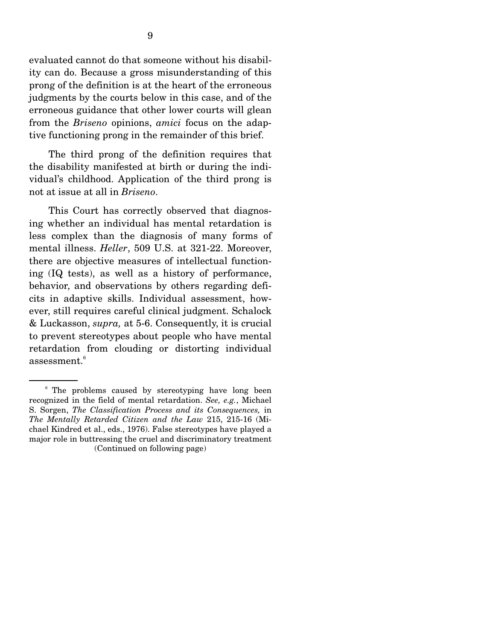evaluated cannot do that someone without his disability can do. Because a gross misunderstanding of this prong of the definition is at the heart of the erroneous judgments by the courts below in this case, and of the erroneous guidance that other lower courts will glean from the *Briseno* opinions, *amici* focus on the adaptive functioning prong in the remainder of this brief.

 The third prong of the definition requires that the disability manifested at birth or during the individual's childhood. Application of the third prong is not at issue at all in *Briseno*.

 This Court has correctly observed that diagnosing whether an individual has mental retardation is less complex than the diagnosis of many forms of mental illness. *Heller*, 509 U.S. at 321-22. Moreover, there are objective measures of intellectual functioning (IQ tests), as well as a history of performance, behavior, and observations by others regarding deficits in adaptive skills. Individual assessment, however, still requires careful clinical judgment. Schalock & Luckasson, *supra,* at 5-6. Consequently, it is crucial to prevent stereotypes about people who have mental retardation from clouding or distorting individual assessment. $6$ 

<sup>&</sup>lt;sup>6</sup> The problems caused by stereotyping have long been recognized in the field of mental retardation. *See, e.g.*, Michael S. Sorgen, *The Classification Process and its Consequences,* in *The Mentally Retarded Citizen and the Law* 215, 215-16 (Michael Kindred et al., eds., 1976). False stereotypes have played a major role in buttressing the cruel and discriminatory treatment (Continued on following page)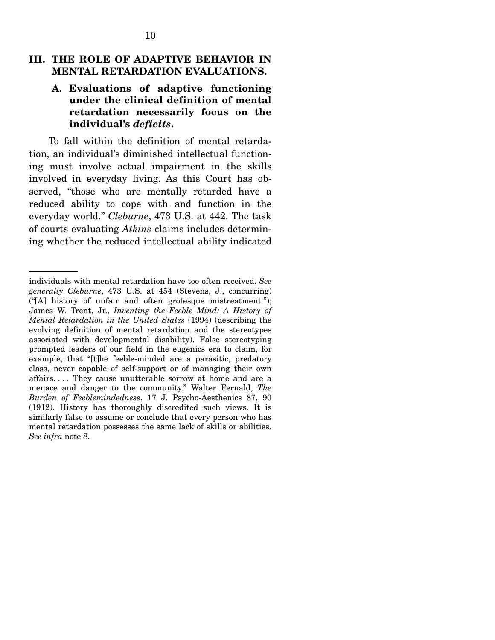#### **III. THE ROLE OF ADAPTIVE BEHAVIOR IN MENTAL RETARDATION EVALUATIONS.**

#### **A. Evaluations of adaptive functioning under the clinical definition of mental retardation necessarily focus on the individual's** *deficits***.**

To fall within the definition of mental retardation, an individual's diminished intellectual functioning must involve actual impairment in the skills involved in everyday living. As this Court has observed, "those who are mentally retarded have a reduced ability to cope with and function in the everyday world." *Cleburne*, 473 U.S. at 442. The task of courts evaluating *Atkins* claims includes determining whether the reduced intellectual ability indicated

individuals with mental retardation have too often received. *See generally Cleburne*, 473 U.S. at 454 (Stevens, J., concurring) ("[A] history of unfair and often grotesque mistreatment."); James W. Trent, Jr., *Inventing the Feeble Mind: A History of Mental Retardation in the United States* (1994) (describing the evolving definition of mental retardation and the stereotypes associated with developmental disability). False stereotyping prompted leaders of our field in the eugenics era to claim, for example, that "[t]he feeble-minded are a parasitic, predatory class, never capable of self-support or of managing their own affairs. . . . They cause unutterable sorrow at home and are a menace and danger to the community." Walter Fernald, *The Burden of Feeblemindedness*, 17 J. Psycho-Aesthenics 87, 90 (1912). History has thoroughly discredited such views. It is similarly false to assume or conclude that every person who has mental retardation possesses the same lack of skills or abilities. *See infra* note 8.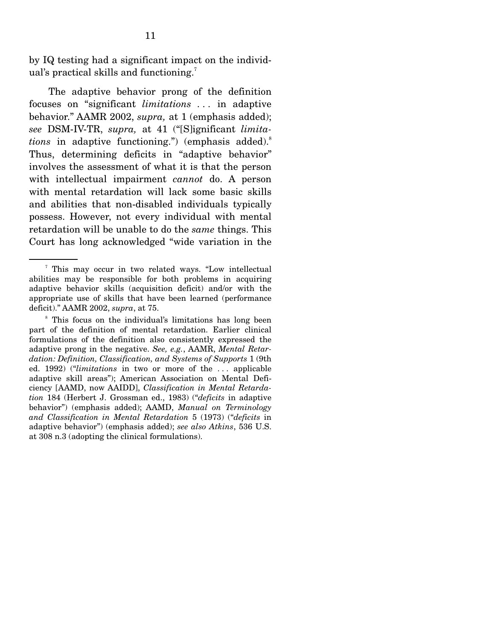by IQ testing had a significant impact on the individual's practical skills and functioning.<sup>7</sup>

 The adaptive behavior prong of the definition focuses on "significant *limitations . . .* in adaptive behavior." AAMR 2002, *supra,* at 1 (emphasis added); *see* DSM-IV-TR, *supra,* at 41 ("[S]ignificant *limitations* in adaptive functioning.") (emphasis added).<sup>8</sup> Thus, determining deficits in "adaptive behavior" involves the assessment of what it is that the person with intellectual impairment *cannot* do. A person with mental retardation will lack some basic skills and abilities that non-disabled individuals typically possess. However, not every individual with mental retardation will be unable to do the *same* things. This Court has long acknowledged "wide variation in the

<sup>7</sup> This may occur in two related ways. "Low intellectual abilities may be responsible for both problems in acquiring adaptive behavior skills (acquisition deficit) and/or with the appropriate use of skills that have been learned (performance deficit)." AAMR 2002, *supra*, at 75.

<sup>&</sup>lt;sup>8</sup> This focus on the individual's limitations has long been part of the definition of mental retardation. Earlier clinical formulations of the definition also consistently expressed the adaptive prong in the negative. *See, e.g.*, AAMR, *Mental Retardation: Definition, Classification, and Systems of Supports* 1 (9th ed. 1992) ("*limitations* in two or more of the . . . applicable adaptive skill areas"); American Association on Mental Deficiency [AAMD, now AAIDD], *Classification in Mental Retardation* 184 (Herbert J. Grossman ed., 1983) ("*deficits* in adaptive behavior") (emphasis added); AAMD, *Manual on Terminology and Classification in Mental Retardation* 5 (1973) ("*deficits* in adaptive behavior") (emphasis added); *see also Atkins*, 536 U.S. at 308 n.3 (adopting the clinical formulations).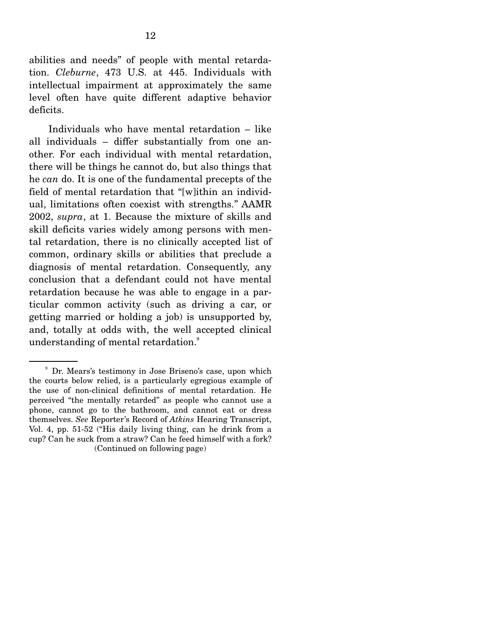abilities and needs" of people with mental retardation. *Cleburne*, 473 U.S. at 445. Individuals with intellectual impairment at approximately the same level often have quite different adaptive behavior deficits.

 Individuals who have mental retardation – like all individuals – differ substantially from one another. For each individual with mental retardation, there will be things he cannot do, but also things that he *can* do. It is one of the fundamental precepts of the field of mental retardation that "[w]ithin an individual, limitations often coexist with strengths." AAMR 2002, *supra*, at 1. Because the mixture of skills and skill deficits varies widely among persons with mental retardation, there is no clinically accepted list of common, ordinary skills or abilities that preclude a diagnosis of mental retardation. Consequently, any conclusion that a defendant could not have mental retardation because he was able to engage in a particular common activity (such as driving a car, or getting married or holding a job) is unsupported by, and, totally at odds with, the well accepted clinical understanding of mental retardation.<sup>9</sup>

<sup>&</sup>lt;sup>9</sup> Dr. Mears's testimony in Jose Briseno's case, upon which the courts below relied, is a particularly egregious example of the use of non-clinical definitions of mental retardation. He perceived "the mentally retarded" as people who cannot use a phone, cannot go to the bathroom, and cannot eat or dress themselves. *See* Reporter's Record of *Atkins* Hearing Transcript, Vol. 4, pp. 51-52 ("His daily living thing, can he drink from a cup? Can he suck from a straw? Can he feed himself with a fork? (Continued on following page)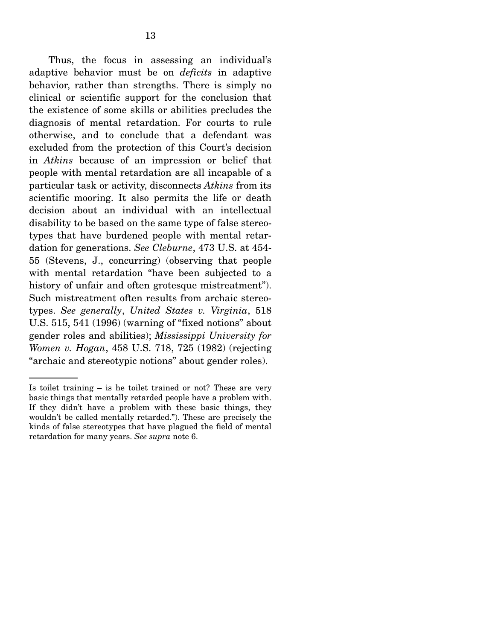Thus, the focus in assessing an individual's adaptive behavior must be on *deficits* in adaptive behavior, rather than strengths. There is simply no clinical or scientific support for the conclusion that the existence of some skills or abilities precludes the diagnosis of mental retardation. For courts to rule otherwise, and to conclude that a defendant was excluded from the protection of this Court's decision in *Atkins* because of an impression or belief that people with mental retardation are all incapable of a particular task or activity, disconnects *Atkins* from its scientific mooring. It also permits the life or death decision about an individual with an intellectual disability to be based on the same type of false stereotypes that have burdened people with mental retardation for generations. *See Cleburne*, 473 U.S. at 454- 55 (Stevens, J., concurring) (observing that people with mental retardation "have been subjected to a history of unfair and often grotesque mistreatment". Such mistreatment often results from archaic stereotypes. *See generally*, *United States v. Virginia*, 518 U.S. 515, 541 (1996) (warning of "fixed notions" about gender roles and abilities); *Mississippi University for Women v. Hogan*, 458 U.S. 718, 725 (1982) (rejecting "archaic and stereotypic notions" about gender roles).

Is toilet training – is he toilet trained or not? These are very basic things that mentally retarded people have a problem with. If they didn't have a problem with these basic things, they wouldn't be called mentally retarded."). These are precisely the kinds of false stereotypes that have plagued the field of mental retardation for many years. *See supra* note 6.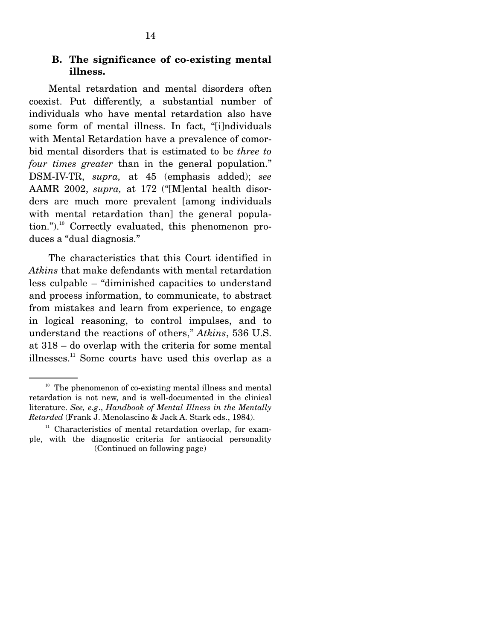#### **B. The significance of co-existing mental illness.**

 Mental retardation and mental disorders often coexist. Put differently, a substantial number of individuals who have mental retardation also have some form of mental illness. In fact, "[i]ndividuals with Mental Retardation have a prevalence of comorbid mental disorders that is estimated to be *three to four times greater* than in the general population." DSM-IV-TR, *supra,* at 45 (emphasis added); *see*  AAMR 2002, *supra,* at 172 ("[M]ental health disorders are much more prevalent [among individuals with mental retardation than] the general population.").<sup>10</sup> Correctly evaluated, this phenomenon produces a "dual diagnosis."

 The characteristics that this Court identified in *Atkins* that make defendants with mental retardation less culpable – "diminished capacities to understand and process information, to communicate, to abstract from mistakes and learn from experience, to engage in logical reasoning, to control impulses, and to understand the reactions of others," *Atkins*, 536 U.S. at 318 – do overlap with the criteria for some mental illnesses. $11$  Some courts have used this overlap as a

 $10$  The phenomenon of co-existing mental illness and mental retardation is not new, and is well-documented in the clinical literature. *See, e.g*., *Handbook of Mental Illness in the Mentally Retarded* (Frank J. Menolascino & Jack A. Stark eds., 1984).

 $11$  Characteristics of mental retardation overlap, for example, with the diagnostic criteria for antisocial personality (Continued on following page)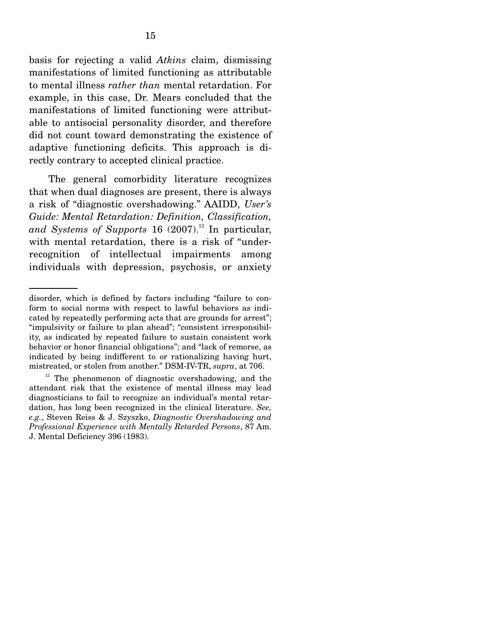basis for rejecting a valid *Atkins* claim, dismissing manifestations of limited functioning as attributable to mental illness *rather than* mental retardation. For example, in this case, Dr. Mears concluded that the manifestations of limited functioning were attributable to antisocial personality disorder, and therefore did not count toward demonstrating the existence of adaptive functioning deficits. This approach is directly contrary to accepted clinical practice.

 The general comorbidity literature recognizes that when dual diagnoses are present, there is always a risk of "diagnostic overshadowing." AAIDD, *User's Guide: Mental Retardation: Definition, Classification,*  and Systems of Supports 16  $(2007)^{12}$  In particular, with mental retardation, there is a risk of "underrecognition of intellectual impairments among individuals with depression, psychosis, or anxiety

disorder, which is defined by factors including "failure to conform to social norms with respect to lawful behaviors as indicated by repeatedly performing acts that are grounds for arrest"; "impulsivity or failure to plan ahead"; "consistent irresponsibility, as indicated by repeated failure to sustain consistent work behavior or honor financial obligations"; and "lack of remorse, as indicated by being indifferent to or rationalizing having hurt, mistreated, or stolen from another." DSM-IV-TR, *supra*, at 706.

<sup>&</sup>lt;sup>12</sup> The phenomenon of diagnostic overshadowing, and the attendant risk that the existence of mental illness may lead diagnosticians to fail to recognize an individual's mental retardation, has long been recognized in the clinical literature. *See, e.g.*, Steven Reiss & J. Szyszko, *Diagnostic Overshadowing and Professional Experience with Mentally Retarded Persons*, 87 Am. J. Mental Deficiency 396 (1983).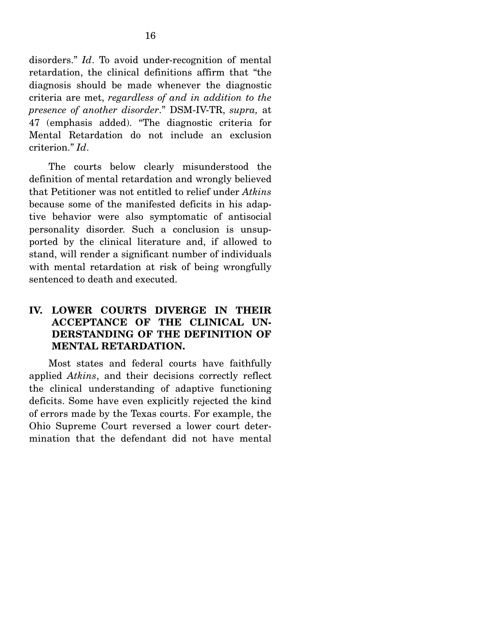disorders." *Id*. To avoid under-recognition of mental retardation, the clinical definitions affirm that "the diagnosis should be made whenever the diagnostic criteria are met, *regardless of and in addition to the presence of another disorder*." DSM-IV-TR, *supra,* at 47 (emphasis added). "The diagnostic criteria for Mental Retardation do not include an exclusion criterion." *Id*.

 The courts below clearly misunderstood the definition of mental retardation and wrongly believed that Petitioner was not entitled to relief under *Atkins* because some of the manifested deficits in his adaptive behavior were also symptomatic of antisocial personality disorder. Such a conclusion is unsupported by the clinical literature and, if allowed to stand, will render a significant number of individuals with mental retardation at risk of being wrongfully sentenced to death and executed.

#### **IV. LOWER COURTS DIVERGE IN THEIR ACCEPTANCE OF THE CLINICAL UN-DERSTANDING OF THE DEFINITION OF MENTAL RETARDATION.**

 Most states and federal courts have faithfully applied *Atkins*, and their decisions correctly reflect the clinical understanding of adaptive functioning deficits. Some have even explicitly rejected the kind of errors made by the Texas courts. For example, the Ohio Supreme Court reversed a lower court determination that the defendant did not have mental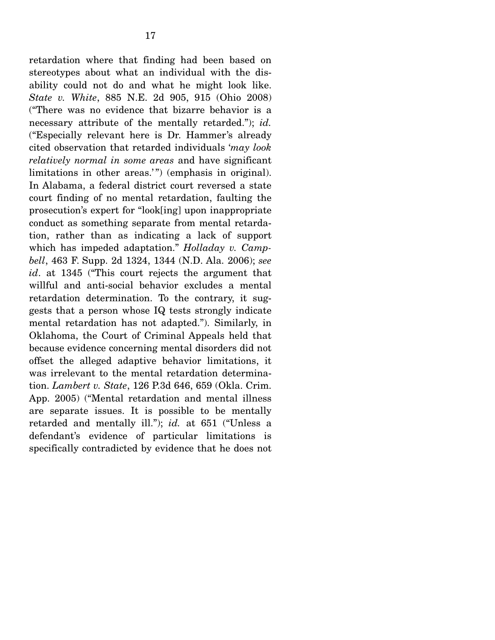retardation where that finding had been based on stereotypes about what an individual with the disability could not do and what he might look like. *State v. White*, 885 N.E. 2d 905, 915 (Ohio 2008) ("There was no evidence that bizarre behavior is a necessary attribute of the mentally retarded."); *id.* ("Especially relevant here is Dr. Hammer's already cited observation that retarded individuals '*may look relatively normal in some areas* and have significant limitations in other areas.") (emphasis in original). In Alabama, a federal district court reversed a state court finding of no mental retardation, faulting the prosecution's expert for "look[ing] upon inappropriate conduct as something separate from mental retardation, rather than as indicating a lack of support which has impeded adaptation." *Holladay v. Campbell*, 463 F. Supp. 2d 1324, 1344 (N.D. Ala. 2006); *see id*. at 1345 ("This court rejects the argument that willful and anti-social behavior excludes a mental retardation determination. To the contrary, it suggests that a person whose IQ tests strongly indicate mental retardation has not adapted."). Similarly, in Oklahoma, the Court of Criminal Appeals held that because evidence concerning mental disorders did not offset the alleged adaptive behavior limitations, it was irrelevant to the mental retardation determination. *Lambert v. State*, 126 P.3d 646, 659 (Okla. Crim. App. 2005) ("Mental retardation and mental illness are separate issues. It is possible to be mentally retarded and mentally ill."); *id.* at 651 ("Unless a defendant's evidence of particular limitations is specifically contradicted by evidence that he does not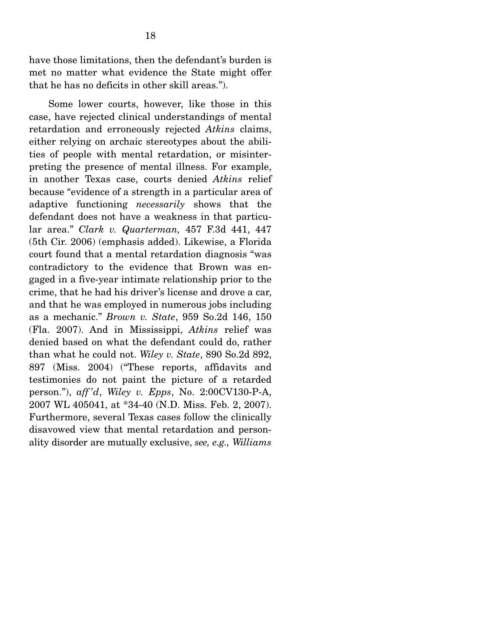have those limitations, then the defendant's burden is met no matter what evidence the State might offer that he has no deficits in other skill areas.").

 Some lower courts, however, like those in this case, have rejected clinical understandings of mental retardation and erroneously rejected *Atkins* claims, either relying on archaic stereotypes about the abilities of people with mental retardation, or misinterpreting the presence of mental illness. For example, in another Texas case, courts denied *Atkins* relief because "evidence of a strength in a particular area of adaptive functioning *necessarily* shows that the defendant does not have a weakness in that particular area." *Clark v. Quarterman,* 457 F.3d 441, 447 (5th Cir. 2006) (emphasis added). Likewise, a Florida court found that a mental retardation diagnosis "was contradictory to the evidence that Brown was engaged in a five-year intimate relationship prior to the crime, that he had his driver's license and drove a car, and that he was employed in numerous jobs including as a mechanic." *Brown v. State*, 959 So.2d 146, 150 (Fla. 2007). And in Mississippi, *Atkins* relief was denied based on what the defendant could do, rather than what he could not. *Wiley v. State*, 890 So.2d 892, 897 (Miss. 2004) ("These reports, affidavits and testimonies do not paint the picture of a retarded person."), *aff 'd*, *Wiley v. Epps*, No. 2:00CV130-P-A, 2007 WL 405041, at \*34-40 (N.D. Miss. Feb. 2, 2007). Furthermore, several Texas cases follow the clinically disavowed view that mental retardation and personality disorder are mutually exclusive, *see, e.g., Williams*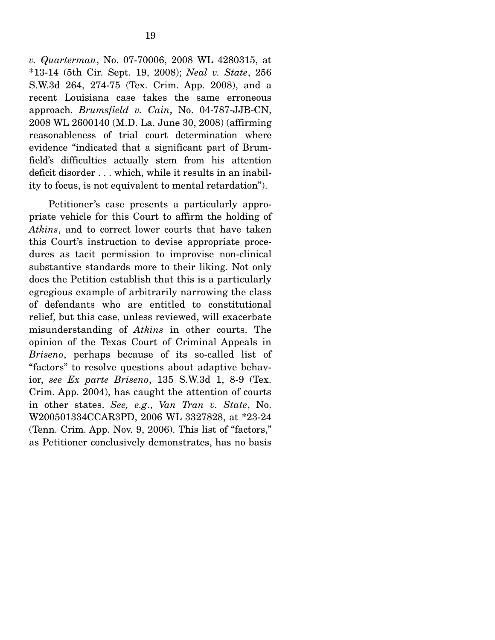*v. Quarterman*, No. 07-70006, 2008 WL 4280315, at \*13-14 (5th Cir. Sept. 19, 2008); *Neal v. State*, 256 S.W.3d 264, 274-75 (Tex. Crim. App. 2008), and a recent Louisiana case takes the same erroneous approach. *Brumsfield v. Cain*, No. 04-787-JJB-CN, 2008 WL 2600140 (M.D. La. June 30, 2008) (affirming reasonableness of trial court determination where evidence "indicated that a significant part of Brumfield's difficulties actually stem from his attention deficit disorder . . . which, while it results in an inability to focus, is not equivalent to mental retardation").

 Petitioner's case presents a particularly appropriate vehicle for this Court to affirm the holding of *Atkins*, and to correct lower courts that have taken this Court's instruction to devise appropriate procedures as tacit permission to improvise non-clinical substantive standards more to their liking. Not only does the Petition establish that this is a particularly egregious example of arbitrarily narrowing the class of defendants who are entitled to constitutional relief, but this case, unless reviewed, will exacerbate misunderstanding of *Atkins* in other courts. The opinion of the Texas Court of Criminal Appeals in *Briseno*, perhaps because of its so-called list of "factors" to resolve questions about adaptive behavior, *see Ex parte Briseno*, 135 S.W.3d 1, 8-9 (Tex. Crim. App. 2004), has caught the attention of courts in other states. *See, e.g*., *Van Tran v. State*, No. W200501334CCAR3PD, 2006 WL 3327828, at \*23-24 (Tenn. Crim. App. Nov. 9, 2006). This list of "factors," as Petitioner conclusively demonstrates, has no basis